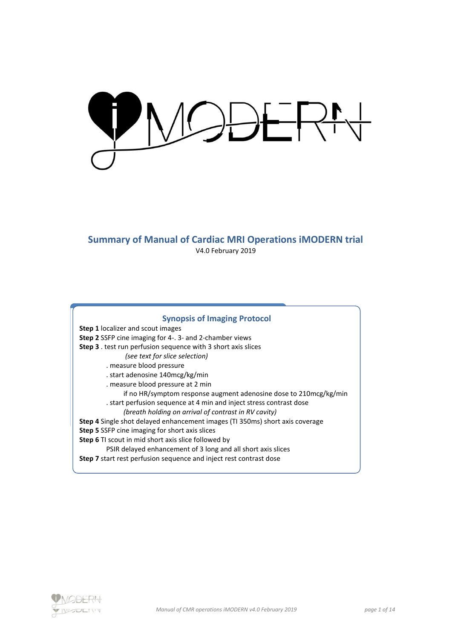IODERN

### **Summary of Manual of Cardiac MRI Operations iMODERN trial** V4.0 February 2019

# **Synopsis of Imaging Protocol**

**Step 1** localizer and scout images **Step 2** SSFP cine imaging for 4-. 3- and 2-chamber views **Step 3** . test run perfusion sequence with 3 short axis slices *(see text for slice selection)* . measure blood pressure . start adenosine 140mcg/kg/min . measure blood pressure at 2 min if no HR/symptom response augment adenosine dose to 210mcg/kg/min . start perfusion sequence at 4 min and inject stress contrast dose *(breath holding on arrival of contrast in RV cavity)* **Step 4** Single shot delayed enhancement images (TI 350ms) short axis coverage **Step 5** SSFP cine imaging for short axis slices **Step 6** TI scout in mid short axis slice followed by PSIR delayed enhancement of 3 long and all short axis slices **Step 7** start rest perfusion sequence and inject rest contrast dose

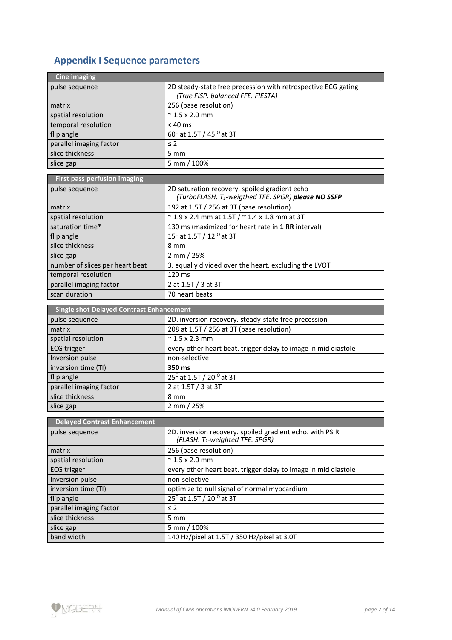## **Appendix I Sequence parameters**

| <b>Cine imaging</b>                             |                                                                                                     |  |  |  |  |  |  |  |
|-------------------------------------------------|-----------------------------------------------------------------------------------------------------|--|--|--|--|--|--|--|
| pulse sequence                                  | 2D steady-state free precession with retrospective ECG gating<br>(True FISP. balanced FFE. FIESTA)  |  |  |  |  |  |  |  |
| matrix                                          | 256 (base resolution)                                                                               |  |  |  |  |  |  |  |
| spatial resolution                              | $\approx$ 1.5 x 2.0 mm                                                                              |  |  |  |  |  |  |  |
| temporal resolution                             | $< 40$ ms                                                                                           |  |  |  |  |  |  |  |
| flip angle                                      | $60^{\circ}$ at 1.5T / 45 $^{\circ}$ at 3T                                                          |  |  |  |  |  |  |  |
| parallel imaging factor                         | $\leq$ 2                                                                                            |  |  |  |  |  |  |  |
| slice thickness                                 | 5 mm                                                                                                |  |  |  |  |  |  |  |
| slice gap                                       | 5 mm / 100%                                                                                         |  |  |  |  |  |  |  |
|                                                 |                                                                                                     |  |  |  |  |  |  |  |
| First pass perfusion imaging                    |                                                                                                     |  |  |  |  |  |  |  |
| pulse sequence                                  | 2D saturation recovery. spoiled gradient echo<br>(TurboFLASH. T1-weigthed TFE. SPGR) please NO SSFP |  |  |  |  |  |  |  |
| matrix                                          | 192 at 1.5T / 256 at 3T (base resolution)                                                           |  |  |  |  |  |  |  |
| spatial resolution                              | $\approx$ 1.9 x 2.4 mm at 1.5T / $\approx$ 1.4 x 1.8 mm at 3T                                       |  |  |  |  |  |  |  |
| saturation time*                                | 130 ms (maximized for heart rate in 1 RR interval)                                                  |  |  |  |  |  |  |  |
| flip angle                                      | 15 <sup>0</sup> at 1.5T / 12 <sup>0</sup> at 3T                                                     |  |  |  |  |  |  |  |
| slice thickness                                 | 8 mm                                                                                                |  |  |  |  |  |  |  |
| slice gap                                       | 2 mm / 25%                                                                                          |  |  |  |  |  |  |  |
| number of slices per heart beat                 | 3. equally divided over the heart. excluding the LVOT                                               |  |  |  |  |  |  |  |
| temporal resolution                             | 120 ms                                                                                              |  |  |  |  |  |  |  |
| parallel imaging factor                         | 2 at 1.5T / 3 at 3T                                                                                 |  |  |  |  |  |  |  |
| scan duration                                   | 70 heart beats                                                                                      |  |  |  |  |  |  |  |
|                                                 |                                                                                                     |  |  |  |  |  |  |  |
| <b>Single shot Delayed Contrast Enhancement</b> |                                                                                                     |  |  |  |  |  |  |  |
|                                                 |                                                                                                     |  |  |  |  |  |  |  |
| pulse sequence                                  | 2D. inversion recovery. steady-state free precession                                                |  |  |  |  |  |  |  |
| matrix                                          | 208 at 1.5T / 256 at 3T (base resolution)                                                           |  |  |  |  |  |  |  |
| spatial resolution                              | $\approx$ 1.5 x 2.3 mm                                                                              |  |  |  |  |  |  |  |
| <b>ECG</b> trigger                              | every other heart beat. trigger delay to image in mid diastole                                      |  |  |  |  |  |  |  |
| Inversion pulse                                 | non-selective                                                                                       |  |  |  |  |  |  |  |
| inversion time (TI)                             | 350 ms                                                                                              |  |  |  |  |  |  |  |
| flip angle                                      | 25 <sup>0</sup> at 1.5T / 20 <sup>0</sup> at 3T                                                     |  |  |  |  |  |  |  |
| parallel imaging factor                         | 2 at 1.5T / 3 at 3T                                                                                 |  |  |  |  |  |  |  |
| slice thickness                                 | 8 mm                                                                                                |  |  |  |  |  |  |  |
| slice gap                                       | 2 mm / 25%                                                                                          |  |  |  |  |  |  |  |
| <b>Delayed Contrast Enhancement</b>             |                                                                                                     |  |  |  |  |  |  |  |
| pulse sequence                                  | 2D. inversion recovery. spoiled gradient echo. with PSIR<br>(FLASH. T1-weighted TFE. SPGR)          |  |  |  |  |  |  |  |
| matrix                                          | 256 (base resolution)                                                                               |  |  |  |  |  |  |  |
| spatial resolution                              | $\approx$ 1.5 x 2.0 mm                                                                              |  |  |  |  |  |  |  |
|                                                 | every other heart beat. trigger delay to image in mid diastole                                      |  |  |  |  |  |  |  |
| <b>ECG trigger</b><br>Inversion pulse           | non-selective                                                                                       |  |  |  |  |  |  |  |
| inversion time (TI)                             | optimize to null signal of normal myocardium                                                        |  |  |  |  |  |  |  |
|                                                 |                                                                                                     |  |  |  |  |  |  |  |
| flip angle                                      | 25 <sup>0</sup> at 1.5T / 20 <sup>0</sup> at 3T                                                     |  |  |  |  |  |  |  |
| parallel imaging factor                         | $\leq 2$                                                                                            |  |  |  |  |  |  |  |
| slice thickness                                 | 5 mm                                                                                                |  |  |  |  |  |  |  |
| slice gap<br>band width                         | 5 mm / 100%<br>140 Hz/pixel at 1.5T / 350 Hz/pixel at 3.0T                                          |  |  |  |  |  |  |  |